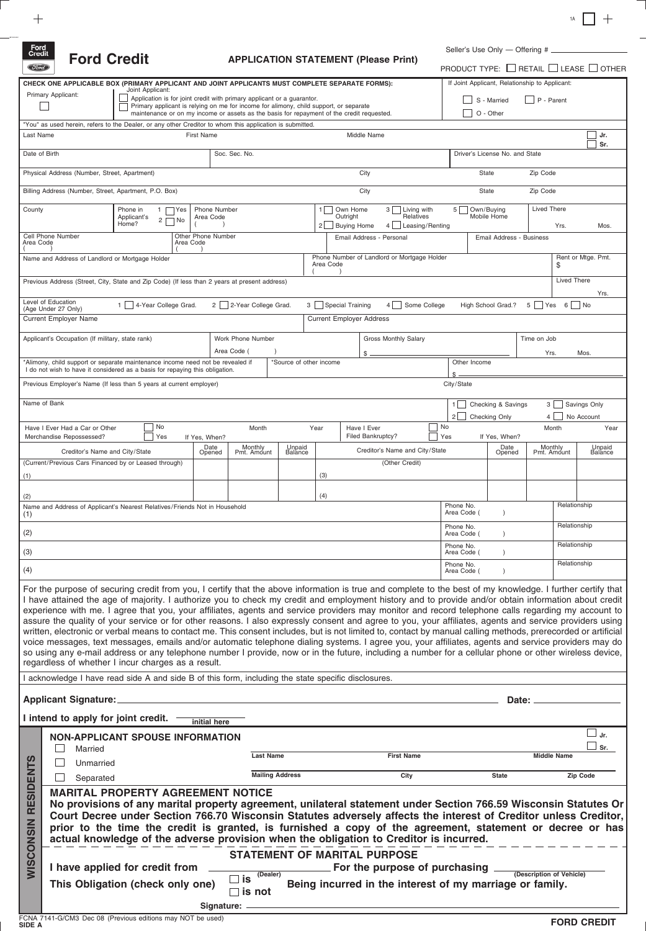Ford<br>Credit (*Stord*)

| <b>Ford Credit</b> |
|--------------------|

**CHECK ONE APPLICABLE BOX (PRIMARY APPLICANT AND JOINT APPLICANTS MUST COMPLETE SEPARATE FORMS):**

# **APPLICATION STATEMENT (Please P**

|       | $+$<br>1A                                      |  |  |  |  |  |  |  |  |  |  |
|-------|------------------------------------------------|--|--|--|--|--|--|--|--|--|--|
|       | Seller's Use Only - Offering #                 |  |  |  |  |  |  |  |  |  |  |
| rint) | PRODUCT TYPE: □ RETAIL □ LEASE □ OTHER         |  |  |  |  |  |  |  |  |  |  |
|       | If Joint Applicant, Relationship to Applicant: |  |  |  |  |  |  |  |  |  |  |
|       | S - Married P - Parent                         |  |  |  |  |  |  |  |  |  |  |
|       | O - Other                                      |  |  |  |  |  |  |  |  |  |  |
|       |                                                |  |  |  |  |  |  |  |  |  |  |
|       | Jr.<br>۹r                                      |  |  |  |  |  |  |  |  |  |  |

|                                                                                                                                                                                                                                                                                                                                                                                                                                                                                                                                                                                                                                                                                                                                                                                                                                                                                                                                                                                                                                                                                                                                                                                                                                                                                    | Primary Applicant:                                                                                                                                                                                                                              | Joint Applicant:<br>Application is for joint credit with primary applicant or a quarantor.<br>Primary applicant is relying on me for income for alimony, child support, or separate |                        |               |                |                                     |                                       |      |                                                              |             |                                                          |                    | S - Married<br>P - Parent                                      |              |                                                       |                             |                          |                             |  |
|------------------------------------------------------------------------------------------------------------------------------------------------------------------------------------------------------------------------------------------------------------------------------------------------------------------------------------------------------------------------------------------------------------------------------------------------------------------------------------------------------------------------------------------------------------------------------------------------------------------------------------------------------------------------------------------------------------------------------------------------------------------------------------------------------------------------------------------------------------------------------------------------------------------------------------------------------------------------------------------------------------------------------------------------------------------------------------------------------------------------------------------------------------------------------------------------------------------------------------------------------------------------------------|-------------------------------------------------------------------------------------------------------------------------------------------------------------------------------------------------------------------------------------------------|-------------------------------------------------------------------------------------------------------------------------------------------------------------------------------------|------------------------|---------------|----------------|-------------------------------------|---------------------------------------|------|--------------------------------------------------------------|-------------|----------------------------------------------------------|--------------------|----------------------------------------------------------------|--------------|-------------------------------------------------------|-----------------------------|--------------------------|-----------------------------|--|
|                                                                                                                                                                                                                                                                                                                                                                                                                                                                                                                                                                                                                                                                                                                                                                                                                                                                                                                                                                                                                                                                                                                                                                                                                                                                                    | O - Other<br>maintenance or on my income or assets as the basis for repayment of the credit requested.<br>"You" as used herein, refers to the Dealer, or any other Creditor to whom this application is submitted.<br>First Name<br>Middle Name |                                                                                                                                                                                     |                        |               |                |                                     |                                       |      |                                                              |             |                                                          |                    |                                                                |              |                                                       |                             |                          |                             |  |
| Last Name                                                                                                                                                                                                                                                                                                                                                                                                                                                                                                                                                                                                                                                                                                                                                                                                                                                                                                                                                                                                                                                                                                                                                                                                                                                                          |                                                                                                                                                                                                                                                 |                                                                                                                                                                                     |                        |               |                |                                     |                                       |      |                                                              |             |                                                          |                    |                                                                |              |                                                       |                             |                          | Jr.                         |  |
|                                                                                                                                                                                                                                                                                                                                                                                                                                                                                                                                                                                                                                                                                                                                                                                                                                                                                                                                                                                                                                                                                                                                                                                                                                                                                    | Date of Birth<br>Soc. Sec. No.<br>Driver's License No. and State                                                                                                                                                                                |                                                                                                                                                                                     |                        |               |                |                                     |                                       |      |                                                              |             |                                                          | Sr.                |                                                                |              |                                                       |                             |                          |                             |  |
|                                                                                                                                                                                                                                                                                                                                                                                                                                                                                                                                                                                                                                                                                                                                                                                                                                                                                                                                                                                                                                                                                                                                                                                                                                                                                    | Physical Address (Number, Street, Apartment)                                                                                                                                                                                                    |                                                                                                                                                                                     |                        |               |                |                                     |                                       |      |                                                              | City        |                                                          |                    |                                                                | <b>State</b> |                                                       | Zip Code                    |                          |                             |  |
|                                                                                                                                                                                                                                                                                                                                                                                                                                                                                                                                                                                                                                                                                                                                                                                                                                                                                                                                                                                                                                                                                                                                                                                                                                                                                    | Billing Address (Number, Street, Apartment, P.O. Box)                                                                                                                                                                                           |                                                                                                                                                                                     |                        |               |                |                                     |                                       |      |                                                              | City        |                                                          |                    |                                                                | State        |                                                       | Zip Code                    |                          |                             |  |
| County                                                                                                                                                                                                                                                                                                                                                                                                                                                                                                                                                                                                                                                                                                                                                                                                                                                                                                                                                                                                                                                                                                                                                                                                                                                                             |                                                                                                                                                                                                                                                 | Phone Number<br>Phone in<br>1 E<br>∏Yes<br>Applicant's<br>Area Code<br>$\overline{c}$<br>I No<br>Home?                                                                              |                        |               |                |                                     |                                       |      | Own Home<br>Outright<br><b>Buying Home</b><br>2 <sup>1</sup> |             | 3 Living with<br>Relatives<br>4 Leasing/Renting          |                    | <b>Lived There</b><br>Own/Buying<br>5 I<br>Mobile Home<br>Yrs. |              |                                                       |                             |                          | Mos.                        |  |
| Other Phone Number<br>Cell Phone Number<br>Area Code<br>Area Code                                                                                                                                                                                                                                                                                                                                                                                                                                                                                                                                                                                                                                                                                                                                                                                                                                                                                                                                                                                                                                                                                                                                                                                                                  |                                                                                                                                                                                                                                                 |                                                                                                                                                                                     |                        |               |                |                                     |                                       |      |                                                              |             | Email Address - Personal                                 |                    |                                                                |              | Email Address - Business                              |                             |                          |                             |  |
| Phone Number of Landlord or Mortgage Holder<br>Rent or Mtge. Pmt.<br>Name and Address of Landlord or Mortgage Holder<br>Area Code<br>\$                                                                                                                                                                                                                                                                                                                                                                                                                                                                                                                                                                                                                                                                                                                                                                                                                                                                                                                                                                                                                                                                                                                                            |                                                                                                                                                                                                                                                 |                                                                                                                                                                                     |                        |               |                |                                     |                                       |      |                                                              |             |                                                          |                    |                                                                |              |                                                       |                             |                          |                             |  |
|                                                                                                                                                                                                                                                                                                                                                                                                                                                                                                                                                                                                                                                                                                                                                                                                                                                                                                                                                                                                                                                                                                                                                                                                                                                                                    | <b>Lived There</b><br>Previous Address (Street, City, State and Zip Code) (If less than 2 years at present address)<br>Yrs.                                                                                                                     |                                                                                                                                                                                     |                        |               |                |                                     |                                       |      |                                                              |             |                                                          |                    |                                                                |              |                                                       |                             |                          |                             |  |
|                                                                                                                                                                                                                                                                                                                                                                                                                                                                                                                                                                                                                                                                                                                                                                                                                                                                                                                                                                                                                                                                                                                                                                                                                                                                                    | Level of Education<br>(Age Under 27 Only)                                                                                                                                                                                                       |                                                                                                                                                                                     | 1 4-Year College Grad. |               |                | 2 2-Year College Grad.              |                                       |      | 3 Special Training                                           |             | 4 Some College                                           |                    |                                                                |              | High School Grad.?                                    |                             | 5 Yes 6 No               |                             |  |
|                                                                                                                                                                                                                                                                                                                                                                                                                                                                                                                                                                                                                                                                                                                                                                                                                                                                                                                                                                                                                                                                                                                                                                                                                                                                                    | <b>Current Employer Name</b>                                                                                                                                                                                                                    |                                                                                                                                                                                     |                        |               |                |                                     |                                       |      | <b>Current Employer Address</b>                              |             |                                                          |                    |                                                                |              |                                                       |                             |                          |                             |  |
|                                                                                                                                                                                                                                                                                                                                                                                                                                                                                                                                                                                                                                                                                                                                                                                                                                                                                                                                                                                                                                                                                                                                                                                                                                                                                    | Applicant's Occupation (If military, state rank)                                                                                                                                                                                                |                                                                                                                                                                                     |                        |               |                | Work Phone Number<br>Area Code (    |                                       |      |                                                              |             | <b>Gross Monthly Salary</b>                              |                    |                                                                |              |                                                       | Time on Job<br>Yrs.<br>Mos. |                          |                             |  |
|                                                                                                                                                                                                                                                                                                                                                                                                                                                                                                                                                                                                                                                                                                                                                                                                                                                                                                                                                                                                                                                                                                                                                                                                                                                                                    | *Alimony, child support or separate maintenance income need not be revealed if                                                                                                                                                                  |                                                                                                                                                                                     |                        |               |                |                                     | *Source of other income               |      |                                                              |             |                                                          |                    |                                                                | Other Income |                                                       |                             |                          |                             |  |
| I do not wish to have it considered as a basis for repaying this obligation.<br>Previous Employer's Name (If less than 5 years at current employer)<br>City/State                                                                                                                                                                                                                                                                                                                                                                                                                                                                                                                                                                                                                                                                                                                                                                                                                                                                                                                                                                                                                                                                                                                  |                                                                                                                                                                                                                                                 |                                                                                                                                                                                     |                        |               |                |                                     |                                       |      |                                                              |             |                                                          |                    |                                                                |              |                                                       |                             |                          |                             |  |
|                                                                                                                                                                                                                                                                                                                                                                                                                                                                                                                                                                                                                                                                                                                                                                                                                                                                                                                                                                                                                                                                                                                                                                                                                                                                                    | Name of Bank                                                                                                                                                                                                                                    |                                                                                                                                                                                     |                        |               |                |                                     |                                       |      |                                                              |             |                                                          |                    | $1 \mid$<br>$2$   $\sqrt{2}$                                   |              | Checking & Savings                                    |                             | 3<br>$\overline{4}$      | Savings Only                |  |
|                                                                                                                                                                                                                                                                                                                                                                                                                                                                                                                                                                                                                                                                                                                                                                                                                                                                                                                                                                                                                                                                                                                                                                                                                                                                                    | Have I Ever Had a Car or Other<br>Merchandise Repossessed?                                                                                                                                                                                      |                                                                                                                                                                                     | No<br>Yes              | If Yes, When? |                | Month                               |                                       | Year |                                                              | Have I Ever | Filed Bankruptcy?                                        |                    | $\overline{\phantom{a}}$ No<br>Yes                             |              | Checking Only<br>No Account<br>Month<br>If Yes, When? |                             |                          | Year                        |  |
|                                                                                                                                                                                                                                                                                                                                                                                                                                                                                                                                                                                                                                                                                                                                                                                                                                                                                                                                                                                                                                                                                                                                                                                                                                                                                    | Creditor's Name and City/State                                                                                                                                                                                                                  |                                                                                                                                                                                     |                        |               | Date<br>Opened | Monthly<br>Pmt. Amount              | Unpaid<br><b>Balance</b>              |      |                                                              |             | Creditor's Name and City/State                           |                    |                                                                |              | Date<br>Opened                                        |                             | Monthly<br>Pmt. Amount   | Unpaid<br><b>Balance</b>    |  |
|                                                                                                                                                                                                                                                                                                                                                                                                                                                                                                                                                                                                                                                                                                                                                                                                                                                                                                                                                                                                                                                                                                                                                                                                                                                                                    | (Current/Previous Cars Financed by or Leased through)                                                                                                                                                                                           |                                                                                                                                                                                     |                        |               |                |                                     |                                       |      |                                                              |             | (Other Credit)                                           |                    |                                                                |              |                                                       |                             |                          |                             |  |
| (1)                                                                                                                                                                                                                                                                                                                                                                                                                                                                                                                                                                                                                                                                                                                                                                                                                                                                                                                                                                                                                                                                                                                                                                                                                                                                                |                                                                                                                                                                                                                                                 |                                                                                                                                                                                     |                        |               |                |                                     |                                       |      | (3)                                                          |             |                                                          |                    |                                                                |              |                                                       |                             |                          |                             |  |
| (2)<br>(1)                                                                                                                                                                                                                                                                                                                                                                                                                                                                                                                                                                                                                                                                                                                                                                                                                                                                                                                                                                                                                                                                                                                                                                                                                                                                         | Name and Address of Applicant's Nearest Relatives/Friends Not in Household                                                                                                                                                                      |                                                                                                                                                                                     |                        |               |                |                                     |                                       |      | (4)                                                          |             |                                                          |                    | Phone No.<br>Area Code (                                       |              | $\lambda$                                             |                             | Relationship             |                             |  |
|                                                                                                                                                                                                                                                                                                                                                                                                                                                                                                                                                                                                                                                                                                                                                                                                                                                                                                                                                                                                                                                                                                                                                                                                                                                                                    |                                                                                                                                                                                                                                                 |                                                                                                                                                                                     |                        |               |                |                                     |                                       |      |                                                              |             |                                                          |                    | Phone No.<br>Area Code (                                       |              |                                                       |                             | Relationship             |                             |  |
| (2)                                                                                                                                                                                                                                                                                                                                                                                                                                                                                                                                                                                                                                                                                                                                                                                                                                                                                                                                                                                                                                                                                                                                                                                                                                                                                |                                                                                                                                                                                                                                                 |                                                                                                                                                                                     |                        |               |                |                                     |                                       |      |                                                              |             |                                                          |                    | Phone No.                                                      |              |                                                       |                             | Relationship             |                             |  |
| (3)<br>(4)                                                                                                                                                                                                                                                                                                                                                                                                                                                                                                                                                                                                                                                                                                                                                                                                                                                                                                                                                                                                                                                                                                                                                                                                                                                                         |                                                                                                                                                                                                                                                 |                                                                                                                                                                                     |                        |               |                |                                     |                                       |      |                                                              |             |                                                          |                    | Area Code (<br>Phone No.                                       |              |                                                       |                             | Relationship             |                             |  |
|                                                                                                                                                                                                                                                                                                                                                                                                                                                                                                                                                                                                                                                                                                                                                                                                                                                                                                                                                                                                                                                                                                                                                                                                                                                                                    |                                                                                                                                                                                                                                                 |                                                                                                                                                                                     |                        |               |                |                                     |                                       |      |                                                              |             |                                                          |                    | Area Code (                                                    |              |                                                       |                             |                          |                             |  |
| For the purpose of securing credit from you, I certify that the above information is true and complete to the best of my knowledge. I further certify that<br>I have attained the age of majority. I authorize you to check my credit and employment history and to provide and/or obtain information about credit<br>experience with me. I agree that you, your affiliates, agents and service providers may monitor and record telephone calls regarding my account to<br>assure the quality of your service or for other reasons. I also expressly consent and agree to you, your affiliates, agents and service providers using<br>written, electronic or verbal means to contact me. This consent includes, but is not limited to, contact by manual calling methods, prerecorded or artificial<br>voice messages, text messages, emails and/or automatic telephone dialing systems. I agree you, your affiliates, agents and service providers may do<br>so using any e-mail address or any telephone number I provide, now or in the future, including a number for a cellular phone or other wireless device,<br>regardless of whether I incur charges as a result.<br>I acknowledge I have read side A and side B of this form, including the state specific disclosures. |                                                                                                                                                                                                                                                 |                                                                                                                                                                                     |                        |               |                |                                     |                                       |      |                                                              |             |                                                          |                    |                                                                |              |                                                       |                             |                          |                             |  |
|                                                                                                                                                                                                                                                                                                                                                                                                                                                                                                                                                                                                                                                                                                                                                                                                                                                                                                                                                                                                                                                                                                                                                                                                                                                                                    |                                                                                                                                                                                                                                                 |                                                                                                                                                                                     |                        |               |                |                                     |                                       |      |                                                              |             |                                                          |                    |                                                                |              |                                                       |                             |                          |                             |  |
| <b>Applicant Signature:</b><br>Date: _                                                                                                                                                                                                                                                                                                                                                                                                                                                                                                                                                                                                                                                                                                                                                                                                                                                                                                                                                                                                                                                                                                                                                                                                                                             |                                                                                                                                                                                                                                                 |                                                                                                                                                                                     |                        |               |                |                                     |                                       |      |                                                              |             |                                                          |                    |                                                                |              |                                                       |                             |                          |                             |  |
|                                                                                                                                                                                                                                                                                                                                                                                                                                                                                                                                                                                                                                                                                                                                                                                                                                                                                                                                                                                                                                                                                                                                                                                                                                                                                    | I intend to apply for joint credit.                                                                                                                                                                                                             |                                                                                                                                                                                     |                        | initial here  |                |                                     |                                       |      |                                                              |             |                                                          |                    |                                                                |              |                                                       |                             |                          |                             |  |
|                                                                                                                                                                                                                                                                                                                                                                                                                                                                                                                                                                                                                                                                                                                                                                                                                                                                                                                                                                                                                                                                                                                                                                                                                                                                                    | <b>NON-APPLICANT SPOUSE INFORMATION</b><br>Married                                                                                                                                                                                              |                                                                                                                                                                                     |                        |               |                |                                     |                                       |      |                                                              |             |                                                          |                    |                                                                |              |                                                       |                             |                          | $\square$ Jr.<br>$\Box$ Sr. |  |
| Unmarried                                                                                                                                                                                                                                                                                                                                                                                                                                                                                                                                                                                                                                                                                                                                                                                                                                                                                                                                                                                                                                                                                                                                                                                                                                                                          |                                                                                                                                                                                                                                                 |                                                                                                                                                                                     |                        |               |                |                                     | <b>Last Name</b><br><b>First Name</b> |      |                                                              |             |                                                          | <b>Middle Name</b> |                                                                |              |                                                       |                             |                          |                             |  |
|                                                                                                                                                                                                                                                                                                                                                                                                                                                                                                                                                                                                                                                                                                                                                                                                                                                                                                                                                                                                                                                                                                                                                                                                                                                                                    | Separated                                                                                                                                                                                                                                       |                                                                                                                                                                                     |                        |               |                |                                     | <b>Mailing Address</b>                |      |                                                              |             | City                                                     |                    |                                                                |              | <b>State</b>                                          |                             |                          | Zip Code                    |  |
| <b>RESIDENTS</b><br><b>MARITAL PROPERTY AGREEMENT NOTICE</b><br>No provisions of any marital property agreement, unilateral statement under Section 766.59 Wisconsin Statutes Or<br>Court Decree under Section 766.70 Wisconsin Statutes adversely affects the interest of Creditor unless Creditor,<br><b>WISCONSIN</b><br>prior to the time the credit is granted, is furnished a copy of the agreement, statement or decree or has<br>actual knowledge of the adverse provision when the obligation to Creditor is incurred.                                                                                                                                                                                                                                                                                                                                                                                                                                                                                                                                                                                                                                                                                                                                                    |                                                                                                                                                                                                                                                 |                                                                                                                                                                                     |                        |               |                |                                     |                                       |      |                                                              |             |                                                          |                    |                                                                |              |                                                       |                             |                          |                             |  |
|                                                                                                                                                                                                                                                                                                                                                                                                                                                                                                                                                                                                                                                                                                                                                                                                                                                                                                                                                                                                                                                                                                                                                                                                                                                                                    | I have applied for credit from                                                                                                                                                                                                                  |                                                                                                                                                                                     |                        |               |                | <b>STATEMENT OF MARITAL PURPOSE</b> |                                       |      |                                                              |             | For the purpose of purchasing _                          |                    |                                                                |              |                                                       |                             |                          |                             |  |
|                                                                                                                                                                                                                                                                                                                                                                                                                                                                                                                                                                                                                                                                                                                                                                                                                                                                                                                                                                                                                                                                                                                                                                                                                                                                                    | This Obligation (check only one)                                                                                                                                                                                                                |                                                                                                                                                                                     |                        |               |                | (Dealer)<br>$\square$ is            |                                       |      |                                                              |             | Being incurred in the interest of my marriage or family. |                    |                                                                |              |                                                       |                             | (Description of Vehicle) |                             |  |
|                                                                                                                                                                                                                                                                                                                                                                                                                                                                                                                                                                                                                                                                                                                                                                                                                                                                                                                                                                                                                                                                                                                                                                                                                                                                                    |                                                                                                                                                                                                                                                 |                                                                                                                                                                                     |                        |               |                | $\square$ is not<br>Signature:      |                                       |      |                                                              |             |                                                          |                    |                                                                |              |                                                       |                             |                          |                             |  |
|                                                                                                                                                                                                                                                                                                                                                                                                                                                                                                                                                                                                                                                                                                                                                                                                                                                                                                                                                                                                                                                                                                                                                                                                                                                                                    |                                                                                                                                                                                                                                                 |                                                                                                                                                                                     |                        |               |                |                                     |                                       |      |                                                              |             |                                                          |                    |                                                                |              |                                                       |                             |                          |                             |  |